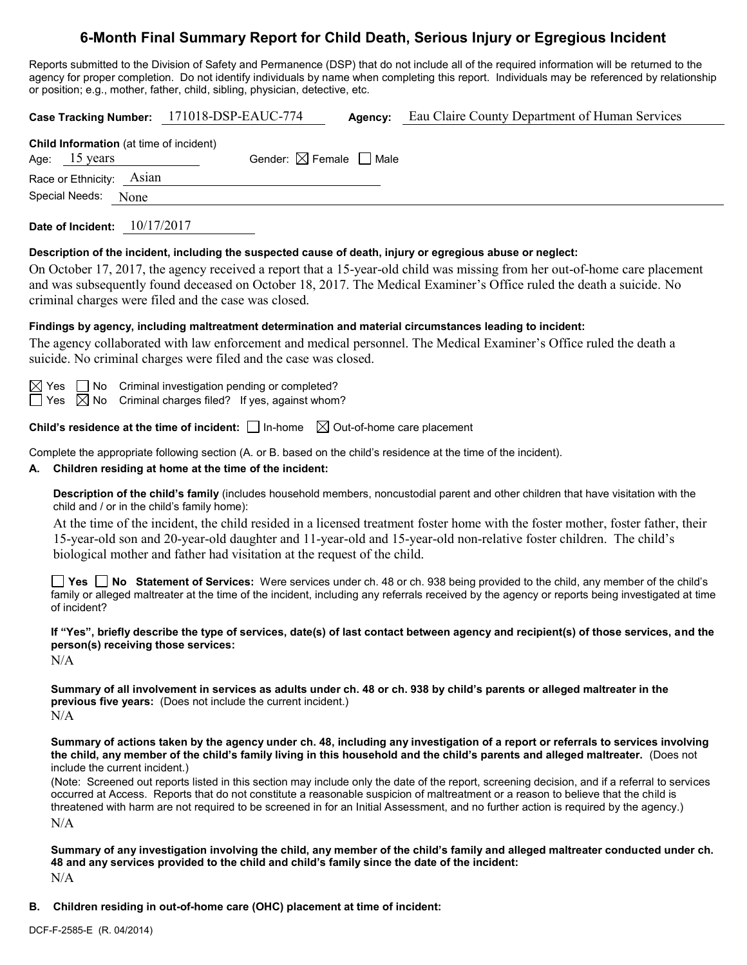# **6-Month Final Summary Report for Child Death, Serious Injury or Egregious Incident**

Reports submitted to the Division of Safety and Permanence (DSP) that do not include all of the required information will be returned to the agency for proper completion. Do not identify individuals by name when completing this report. Individuals may be referenced by relationship or position; e.g., mother, father, child, sibling, physician, detective, etc.

| <b>Agency:</b> Eau Claire County Department of Human Services<br>Case Tracking Number: 171018-DSP-EAUC-774                                                                                                                                                                                                                                                                                                                                                                                                              |  |  |  |  |
|-------------------------------------------------------------------------------------------------------------------------------------------------------------------------------------------------------------------------------------------------------------------------------------------------------------------------------------------------------------------------------------------------------------------------------------------------------------------------------------------------------------------------|--|--|--|--|
| Child Information (at time of incident)<br>Gender: $\boxtimes$ Female $\Box$ Male<br>Age: 15 years<br>Race or Ethnicity: Asian<br>Special Needs:<br>None                                                                                                                                                                                                                                                                                                                                                                |  |  |  |  |
| Date of Incident: 10/17/2017                                                                                                                                                                                                                                                                                                                                                                                                                                                                                            |  |  |  |  |
| Description of the incident, including the suspected cause of death, injury or egregious abuse or neglect:<br>On October 17, 2017, the agency received a report that a 15-year-old child was missing from her out-of-home care placement<br>and was subsequently found deceased on October 18, 2017. The Medical Examiner's Office ruled the death a suicide. No<br>criminal charges were filed and the case was closed.                                                                                                |  |  |  |  |
| Findings by agency, including maltreatment determination and material circumstances leading to incident:<br>The agency collaborated with law enforcement and medical personnel. The Medical Examiner's Office ruled the death a<br>suicide. No criminal charges were filed and the case was closed.                                                                                                                                                                                                                     |  |  |  |  |
| $\boxtimes$ Yes $\quad \Box$ No $\quad$ Criminal investigation pending or completed?<br>Yes $\boxtimes$ No Criminal charges filed? If yes, against whom?                                                                                                                                                                                                                                                                                                                                                                |  |  |  |  |
| Child's residence at the time of incident: $\Box$ In-home $\Box$ Out-of-home care placement                                                                                                                                                                                                                                                                                                                                                                                                                             |  |  |  |  |
| Complete the appropriate following section (A. or B. based on the child's residence at the time of the incident).<br>A. Children residing at home at the time of the incident:                                                                                                                                                                                                                                                                                                                                          |  |  |  |  |
| Description of the child's family (includes household members, noncustodial parent and other children that have visitation with the<br>child and / or in the child's family home):<br>At the time of the incident, the child resided in a licensed treatment foster home with the foster mother, foster father, their<br>15-year-old son and 20-year-old daughter and 11-year-old and 15-year-old non-relative foster children. The child's<br>biological mother and father had visitation at the request of the child. |  |  |  |  |
| Yes I No Statement of Services: Were services under ch. 48 or ch. 938 being provided to the child, any member of the child's<br>family or alleged maltreater at the time of the incident, including any referrals received by the agency or reports being investigated at time<br>of incident?                                                                                                                                                                                                                          |  |  |  |  |
| If "Yes", briefly describe the type of services, date(s) of last contact between agency and recipient(s) of those services, and the<br>person(s) receiving those services:<br>N/A                                                                                                                                                                                                                                                                                                                                       |  |  |  |  |
| Summary of all involvement in services as adults under ch. 48 or ch. 938 by child's parents or alleged maltreater in the<br><b>previous five years:</b> (Does not include the current incident.)<br>N/A                                                                                                                                                                                                                                                                                                                 |  |  |  |  |
| Summary of actions taken by the agency under ch. 48, including any investigation of a report or referrals to services involving<br>the child, any member of the child's family living in this household and the child's parents and alleged maltreater. (Does not<br>include the current incident.)                                                                                                                                                                                                                     |  |  |  |  |
| (Note: Screened out reports listed in this section may include only the date of the report, screening decision, and if a referral to services<br>occurred at Access. Reports that do not constitute a reasonable suspicion of maltreatment or a reason to believe that the child is<br>threatened with harm are not required to be screened in for an Initial Assessment, and no further action is required by the agency.)<br>N/A                                                                                      |  |  |  |  |
| Summary of any investigation involving the child, any member of the child's family and alleged maltreater conducted under ch.<br>48 and any services provided to the child and child's family since the date of the incident:<br>N/A                                                                                                                                                                                                                                                                                    |  |  |  |  |

**B. Children residing in out-of-home care (OHC) placement at time of incident:**